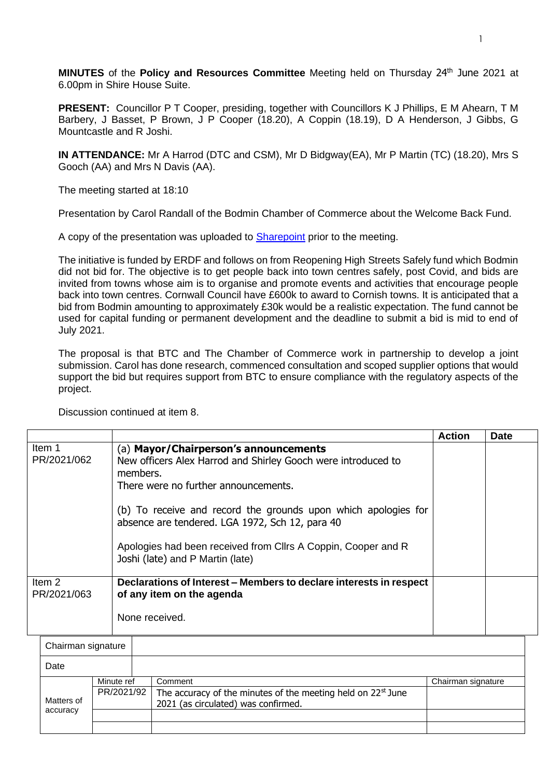**MINUTES** of the **Policy and Resources Committee** Meeting held on Thursday 24<sup>th</sup> June 2021 at 6.00pm in Shire House Suite.

**PRESENT:** Councillor P T Cooper, presiding, together with Councillors K J Phillips, E M Ahearn, T M Barbery, J Basset, P Brown, J P Cooper (18.20), A Coppin (18.19), D A Henderson, J Gibbs, G Mountcastle and R Joshi.

**IN ATTENDANCE:** Mr A Harrod (DTC and CSM), Mr D Bidgway(EA), Mr P Martin (TC) (18.20), Mrs S Gooch (AA) and Mrs N Davis (AA).

The meeting started at 18:10

Presentation by Carol Randall of the Bodmin Chamber of Commerce about the Welcome Back Fund.

A copy of the presentation was uploaded to [Sharepoint](https://bodmin.sharepoint.com/:p:/r/sites/Councillors/_layouts/15/Doc.aspx?sourcedoc=%7BBD6B4335-738F-4D90-AAAA-1F3FF8190064%7D&file=Welcome%20Back%20Fund%20presentation.pptx&action=edit&mobileredirect=true) prior to the meeting.

The initiative is funded by ERDF and follows on from Reopening High Streets Safely fund which Bodmin did not bid for. The objective is to get people back into town centres safely, post Covid, and bids are invited from towns whose aim is to organise and promote events and activities that encourage people back into town centres. Cornwall Council have £600k to award to Cornish towns. It is anticipated that a bid from Bodmin amounting to approximately £30k would be a realistic expectation. The fund cannot be used for capital funding or permanent development and the deadline to submit a bid is mid to end of July 2021.

The proposal is that BTC and The Chamber of Commerce work in partnership to develop a joint submission. Carol has done research, commenced consultation and scoped supplier options that would support the bid but requires support from BTC to ensure compliance with the regulatory aspects of the project.

Discussion continued at item 8.

|                       |                                                                                                                                                                                                                        | <b>Action</b> | <b>Date</b> |
|-----------------------|------------------------------------------------------------------------------------------------------------------------------------------------------------------------------------------------------------------------|---------------|-------------|
| Item 1<br>PR/2021/062 | (a) Mayor/Chairperson's announcements<br>New officers Alex Harrod and Shirley Gooch were introduced to<br>members.<br>There were no further announcements.                                                             |               |             |
|                       | (b) To receive and record the grounds upon which apologies for<br>absence are tendered. LGA 1972, Sch 12, para 40<br>Apologies had been received from Cllrs A Coppin, Cooper and R<br>Joshi (late) and P Martin (late) |               |             |
| Item 2<br>PR/2021/063 | Declarations of Interest – Members to declare interests in respect<br>of any item on the agenda<br>None received.                                                                                                      |               |             |

|            | Chairman signature |  |                                                                          |                    |  |
|------------|--------------------|--|--------------------------------------------------------------------------|--------------------|--|
| Date       |                    |  |                                                                          |                    |  |
|            | Minute ref         |  | Comment                                                                  | Chairman signature |  |
|            | PR/2021/92         |  | The accuracy of the minutes of the meeting held on 22 <sup>st</sup> June |                    |  |
| Matters of |                    |  | 2021 (as circulated) was confirmed.                                      |                    |  |
| accuracy   |                    |  |                                                                          |                    |  |
|            |                    |  |                                                                          |                    |  |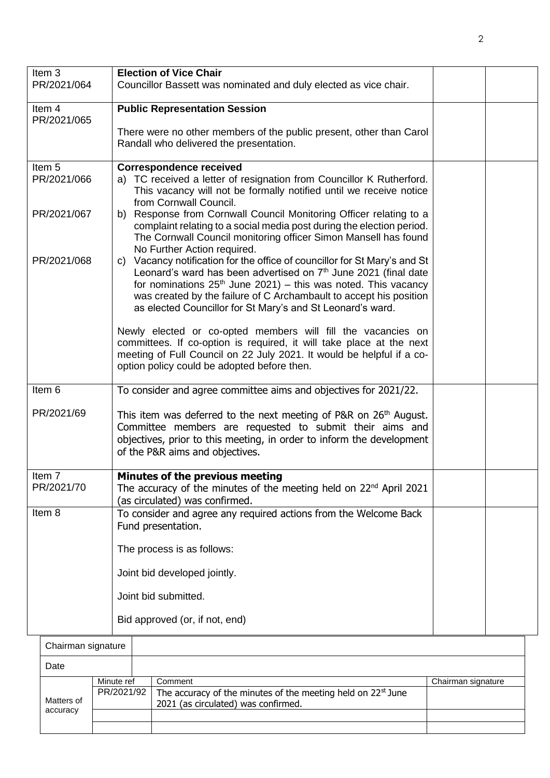| Item <sub>3</sub>                | <b>Election of Vice Chair</b>                                                                                                                                                                                                                                                                                                                                       |  |
|----------------------------------|---------------------------------------------------------------------------------------------------------------------------------------------------------------------------------------------------------------------------------------------------------------------------------------------------------------------------------------------------------------------|--|
| PR/2021/064                      | Councillor Bassett was nominated and duly elected as vice chair.                                                                                                                                                                                                                                                                                                    |  |
| Item 4<br>PR/2021/065            | <b>Public Representation Session</b>                                                                                                                                                                                                                                                                                                                                |  |
|                                  | There were no other members of the public present, other than Carol<br>Randall who delivered the presentation.                                                                                                                                                                                                                                                      |  |
| Item <sub>5</sub><br>PR/2021/066 | <b>Correspondence received</b><br>a) TC received a letter of resignation from Councillor K Rutherford.<br>This vacancy will not be formally notified until we receive notice<br>from Cornwall Council.                                                                                                                                                              |  |
| PR/2021/067                      | b) Response from Cornwall Council Monitoring Officer relating to a<br>complaint relating to a social media post during the election period.<br>The Cornwall Council monitoring officer Simon Mansell has found<br>No Further Action required.                                                                                                                       |  |
| PR/2021/068                      | Vacancy notification for the office of councillor for St Mary's and St<br>C)<br>Leonard's ward has been advertised on 7 <sup>th</sup> June 2021 (final date<br>for nominations $25th$ June 2021) – this was noted. This vacancy<br>was created by the failure of C Archambault to accept his position<br>as elected Councillor for St Mary's and St Leonard's ward. |  |
|                                  | Newly elected or co-opted members will fill the vacancies on<br>committees. If co-option is required, it will take place at the next<br>meeting of Full Council on 22 July 2021. It would be helpful if a co-<br>option policy could be adopted before then.                                                                                                        |  |
| Item 6                           | To consider and agree committee aims and objectives for 2021/22.                                                                                                                                                                                                                                                                                                    |  |
| PR/2021/69                       | This item was deferred to the next meeting of P&R on 26 <sup>th</sup> August.<br>Committee members are requested to submit their aims and<br>objectives, prior to this meeting, in order to inform the development<br>of the P&R aims and objectives.                                                                                                               |  |
| Item 7<br>PR/2021/70             | Minutes of the previous meeting<br>The accuracy of the minutes of the meeting held on 22 <sup>nd</sup> April 2021<br>(as circulated) was confirmed.                                                                                                                                                                                                                 |  |
| Item 8                           | To consider and agree any required actions from the Welcome Back<br>Fund presentation.                                                                                                                                                                                                                                                                              |  |
|                                  | The process is as follows:                                                                                                                                                                                                                                                                                                                                          |  |
|                                  | Joint bid developed jointly.                                                                                                                                                                                                                                                                                                                                        |  |
|                                  | Joint bid submitted.                                                                                                                                                                                                                                                                                                                                                |  |
|                                  | Bid approved (or, if not, end)                                                                                                                                                                                                                                                                                                                                      |  |
|                                  |                                                                                                                                                                                                                                                                                                                                                                     |  |

| Chairman signature     |            |                                                                                       |                    |  |  |
|------------------------|------------|---------------------------------------------------------------------------------------|--------------------|--|--|
| Date                   |            |                                                                                       |                    |  |  |
|                        | Minute ref | Comment                                                                               | Chairman signature |  |  |
| Matters of<br>accuracy |            | PR/2021/92   The accuracy of the minutes of the meeting held on 22 <sup>st</sup> June |                    |  |  |
|                        |            | 2021 (as circulated) was confirmed.                                                   |                    |  |  |
|                        |            |                                                                                       |                    |  |  |
|                        |            |                                                                                       |                    |  |  |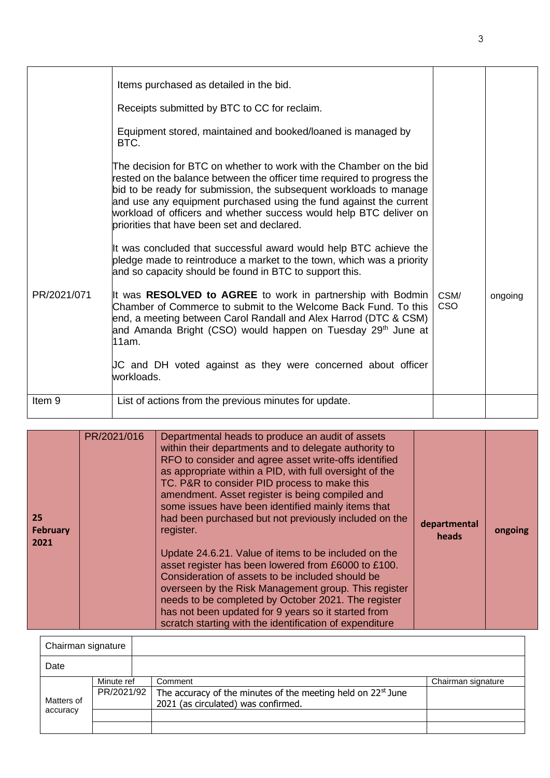|             | Items purchased as detailed in the bid.                                                                                                                                                                                                                                                                                                                                                                         |                    |         |
|-------------|-----------------------------------------------------------------------------------------------------------------------------------------------------------------------------------------------------------------------------------------------------------------------------------------------------------------------------------------------------------------------------------------------------------------|--------------------|---------|
|             | Receipts submitted by BTC to CC for reclaim.                                                                                                                                                                                                                                                                                                                                                                    |                    |         |
|             | Equipment stored, maintained and booked/loaned is managed by<br>BTC.                                                                                                                                                                                                                                                                                                                                            |                    |         |
|             | The decision for BTC on whether to work with the Chamber on the bid<br>rested on the balance between the officer time required to progress the<br>bid to be ready for submission, the subsequent workloads to manage<br>and use any equipment purchased using the fund against the current<br>workload of officers and whether success would help BTC deliver on<br>briorities that have been set and declared. |                    |         |
|             | It was concluded that successful award would help BTC achieve the<br>pledge made to reintroduce a market to the town, which was a priority<br>and so capacity should be found in BTC to support this.                                                                                                                                                                                                           |                    |         |
| PR/2021/071 | It was RESOLVED to AGREE to work in partnership with Bodmin<br>Chamber of Commerce to submit to the Welcome Back Fund. To this<br>end, a meeting between Carol Randall and Alex Harrod (DTC & CSM)<br>and Amanda Bright (CSO) would happen on Tuesday 29 <sup>th</sup> June at<br>11am.                                                                                                                         | CSM/<br><b>CSO</b> | ongoing |
|             | JC and DH voted against as they were concerned about officer<br>workloads.                                                                                                                                                                                                                                                                                                                                      |                    |         |
| Item 9      | List of actions from the previous minutes for update.                                                                                                                                                                                                                                                                                                                                                           |                    |         |

| 25<br><b>February</b><br>2021 | PR/2021/016 | Departmental heads to produce an audit of assets<br>within their departments and to delegate authority to<br>RFO to consider and agree asset write-offs identified<br>as appropriate within a PID, with full oversight of the<br>TC. P&R to consider PID process to make this<br>amendment. Asset register is being compiled and<br>some issues have been identified mainly items that<br>had been purchased but not previously included on the<br>register.<br>Update 24.6.21. Value of items to be included on the<br>asset register has been lowered from £6000 to £100.<br>Consideration of assets to be included should be | departmental<br>heads | ongoing |
|-------------------------------|-------------|---------------------------------------------------------------------------------------------------------------------------------------------------------------------------------------------------------------------------------------------------------------------------------------------------------------------------------------------------------------------------------------------------------------------------------------------------------------------------------------------------------------------------------------------------------------------------------------------------------------------------------|-----------------------|---------|
|                               |             | overseen by the Risk Management group. This register<br>needs to be completed by October 2021. The register<br>has not been updated for 9 years so it started from<br>scratch starting with the identification of expenditure                                                                                                                                                                                                                                                                                                                                                                                                   |                       |         |

| Chairman signature |            |  |                                                                |                    |
|--------------------|------------|--|----------------------------------------------------------------|--------------------|
| Date               |            |  |                                                                |                    |
|                    | Minute ref |  | Comment                                                        | Chairman signature |
|                    | PR/2021/92 |  | The accuracy of the minutes of the meeting held on $22st$ June |                    |
| Matters of         |            |  | 2021 (as circulated) was confirmed.                            |                    |
| accuracy           |            |  |                                                                |                    |
|                    |            |  |                                                                |                    |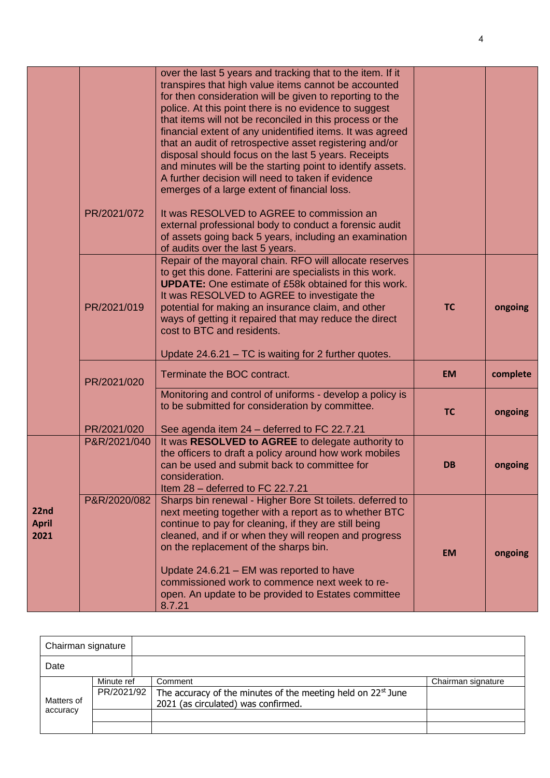|                              | PR/2021/072  | over the last 5 years and tracking that to the item. If it<br>transpires that high value items cannot be accounted<br>for then consideration will be given to reporting to the<br>police. At this point there is no evidence to suggest<br>that items will not be reconciled in this process or the<br>financial extent of any unidentified items. It was agreed<br>that an audit of retrospective asset registering and/or<br>disposal should focus on the last 5 years. Receipts<br>and minutes will be the starting point to identify assets.<br>A further decision will need to taken if evidence<br>emerges of a large extent of financial loss.<br>It was RESOLVED to AGREE to commission an<br>external professional body to conduct a forensic audit |           |          |
|------------------------------|--------------|--------------------------------------------------------------------------------------------------------------------------------------------------------------------------------------------------------------------------------------------------------------------------------------------------------------------------------------------------------------------------------------------------------------------------------------------------------------------------------------------------------------------------------------------------------------------------------------------------------------------------------------------------------------------------------------------------------------------------------------------------------------|-----------|----------|
|                              |              | of assets going back 5 years, including an examination<br>of audits over the last 5 years.                                                                                                                                                                                                                                                                                                                                                                                                                                                                                                                                                                                                                                                                   |           |          |
|                              | PR/2021/019  | Repair of the mayoral chain. RFO will allocate reserves<br>to get this done. Fatterini are specialists in this work.<br><b>UPDATE:</b> One estimate of £58k obtained for this work.<br>It was RESOLVED to AGREE to investigate the<br>potential for making an insurance claim, and other<br>ways of getting it repaired that may reduce the direct<br>cost to BTC and residents.                                                                                                                                                                                                                                                                                                                                                                             | <b>TC</b> | ongoing  |
|                              |              | Update 24.6.21 – TC is waiting for 2 further quotes.                                                                                                                                                                                                                                                                                                                                                                                                                                                                                                                                                                                                                                                                                                         |           |          |
|                              | PR/2021/020  | Terminate the BOC contract.                                                                                                                                                                                                                                                                                                                                                                                                                                                                                                                                                                                                                                                                                                                                  | <b>EM</b> | complete |
|                              | PR/2021/020  | Monitoring and control of uniforms - develop a policy is<br>to be submitted for consideration by committee.<br>See agenda item 24 - deferred to FC 22.7.21                                                                                                                                                                                                                                                                                                                                                                                                                                                                                                                                                                                                   | <b>TC</b> | ongoing  |
|                              | P&R/2021/040 | It was RESOLVED to AGREE to delegate authority to<br>the officers to draft a policy around how work mobiles<br>can be used and submit back to committee for<br>consideration.<br>Item 28 - deferred to FC 22.7.21                                                                                                                                                                                                                                                                                                                                                                                                                                                                                                                                            | <b>DB</b> | ongoing  |
| 22nd<br><b>April</b><br>2021 | P&R/2020/082 | Sharps bin renewal - Higher Bore St toilets. deferred to<br>next meeting together with a report as to whether BTC<br>continue to pay for cleaning, if they are still being<br>cleaned, and if or when they will reopen and progress<br>on the replacement of the sharps bin.<br>Update 24.6.21 - EM was reported to have<br>commissioned work to commence next week to re-<br>open. An update to be provided to Estates committee<br>8.7.21                                                                                                                                                                                                                                                                                                                  | <b>EM</b> | ongoing  |

| Chairman signature |            |                                                                          |                    |
|--------------------|------------|--------------------------------------------------------------------------|--------------------|
| Date               |            |                                                                          |                    |
|                    | Minute ref | Comment                                                                  | Chairman signature |
|                    | PR/2021/92 | The accuracy of the minutes of the meeting held on 22 <sup>st</sup> June |                    |
| Matters of         |            | 2021 (as circulated) was confirmed.                                      |                    |
| accuracy           |            |                                                                          |                    |
|                    |            |                                                                          |                    |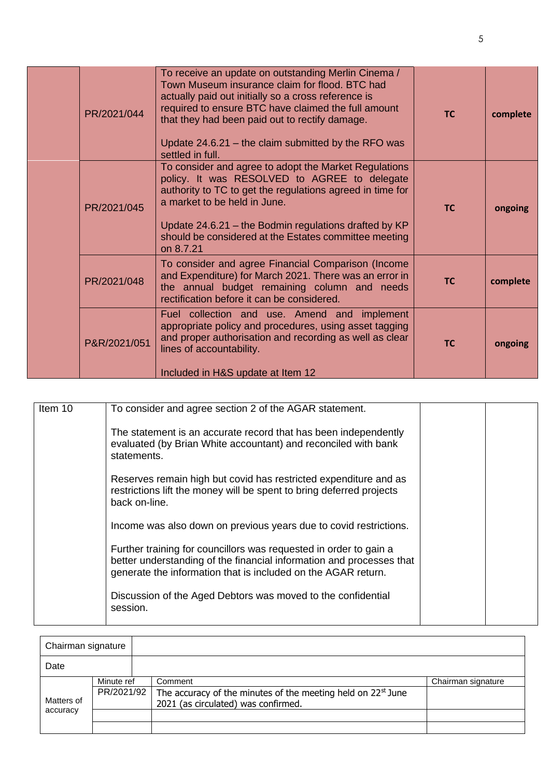| PR/2021/044  | To receive an update on outstanding Merlin Cinema /<br>Town Museum insurance claim for flood. BTC had<br>actually paid out initially so a cross reference is<br>required to ensure BTC have claimed the full amount<br>that they had been paid out to rectify damage.<br>Update $24.6.21$ – the claim submitted by the RFO was<br>settled in full. | <b>TC</b> | complete |
|--------------|----------------------------------------------------------------------------------------------------------------------------------------------------------------------------------------------------------------------------------------------------------------------------------------------------------------------------------------------------|-----------|----------|
| PR/2021/045  | To consider and agree to adopt the Market Regulations<br>policy. It was RESOLVED to AGREE to delegate<br>authority to TC to get the regulations agreed in time for<br>a market to be held in June.<br>Update 24.6.21 - the Bodmin regulations drafted by KP<br>should be considered at the Estates committee meeting<br>on 8.7.21                  | <b>TC</b> | ongoing  |
| PR/2021/048  | To consider and agree Financial Comparison (Income<br>and Expenditure) for March 2021. There was an error in<br>the annual budget remaining column and needs<br>rectification before it can be considered.                                                                                                                                         | <b>TC</b> | complete |
| P&R/2021/051 | Fuel collection and use. Amend and implement<br>appropriate policy and procedures, using asset tagging<br>and proper authorisation and recording as well as clear<br>lines of accountability.<br>Included in H&S update at Item 12                                                                                                                 | <b>TC</b> | ongoing  |

| Item 10 | To consider and agree section 2 of the AGAR statement.                                                                                                                                                     |  |
|---------|------------------------------------------------------------------------------------------------------------------------------------------------------------------------------------------------------------|--|
|         | The statement is an accurate record that has been independently<br>evaluated (by Brian White accountant) and reconciled with bank<br>statements.                                                           |  |
|         | Reserves remain high but covid has restricted expenditure and as<br>restrictions lift the money will be spent to bring deferred projects<br>back on-line.                                                  |  |
|         | Income was also down on previous years due to covid restrictions.                                                                                                                                          |  |
|         | Further training for councillors was requested in order to gain a<br>better understanding of the financial information and processes that<br>generate the information that is included on the AGAR return. |  |
|         | Discussion of the Aged Debtors was moved to the confidential<br>session.                                                                                                                                   |  |

| Chairman signature |            |  |                                                                          |                    |
|--------------------|------------|--|--------------------------------------------------------------------------|--------------------|
| Date               |            |  |                                                                          |                    |
|                    | Minute ref |  | Comment                                                                  | Chairman signature |
|                    | PR/2021/92 |  | The accuracy of the minutes of the meeting held on 22 <sup>st</sup> June |                    |
| Matters of         |            |  | 2021 (as circulated) was confirmed.                                      |                    |
| accuracy           |            |  |                                                                          |                    |
|                    |            |  |                                                                          |                    |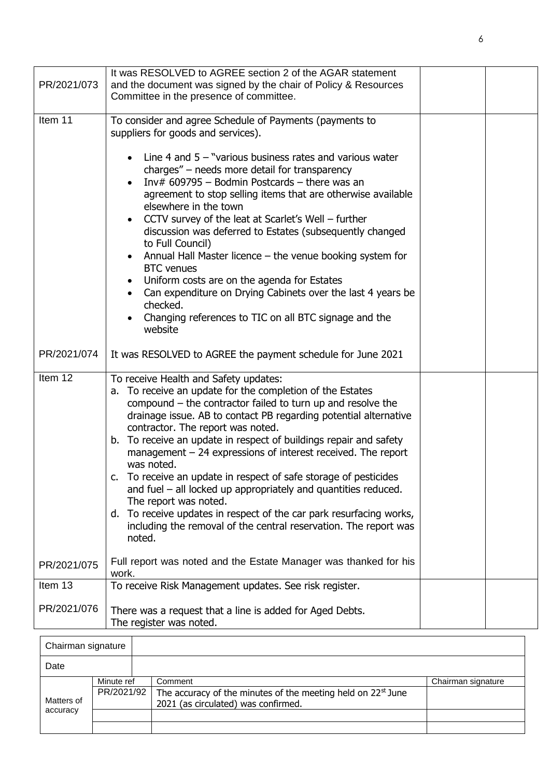|             | It was RESOLVED to AGREE section 2 of the AGAR statement                |  |
|-------------|-------------------------------------------------------------------------|--|
| PR/2021/073 | and the document was signed by the chair of Policy & Resources          |  |
|             | Committee in the presence of committee.                                 |  |
|             |                                                                         |  |
| Item 11     | To consider and agree Schedule of Payments (payments to                 |  |
|             | suppliers for goods and services).                                      |  |
|             |                                                                         |  |
|             | Line 4 and $5 -$ "various business rates and various water<br>$\bullet$ |  |
|             | charges" – needs more detail for transparency                           |  |
|             | Inv# $609795$ - Bodmin Postcards - there was an                         |  |
|             | agreement to stop selling items that are otherwise available            |  |
|             | elsewhere in the town                                                   |  |
|             | CCTV survey of the leat at Scarlet's Well – further                     |  |
|             | discussion was deferred to Estates (subsequently changed                |  |
|             | to Full Council)                                                        |  |
|             | Annual Hall Master licence – the venue booking system for<br>$\bullet$  |  |
|             | <b>BTC</b> venues                                                       |  |
|             | Uniform costs are on the agenda for Estates                             |  |
|             | Can expenditure on Drying Cabinets over the last 4 years be             |  |
|             | checked.                                                                |  |
|             | Changing references to TIC on all BTC signage and the                   |  |
|             | website                                                                 |  |
| PR/2021/074 | It was RESOLVED to AGREE the payment schedule for June 2021             |  |
|             |                                                                         |  |
| Item 12     | To receive Health and Safety updates:                                   |  |
|             | a. To receive an update for the completion of the Estates               |  |
|             | compound $-$ the contractor failed to turn up and resolve the           |  |
|             | drainage issue. AB to contact PB regarding potential alternative        |  |
|             | contractor. The report was noted.                                       |  |
|             | b. To receive an update in respect of buildings repair and safety       |  |
|             | management $-24$ expressions of interest received. The report           |  |
|             | was noted.                                                              |  |
|             | c. To receive an update in respect of safe storage of pesticides        |  |
|             | and fuel – all locked up appropriately and quantities reduced.          |  |
|             | The report was noted.                                                   |  |
|             | d. To receive updates in respect of the car park resurfacing works,     |  |
|             | including the removal of the central reservation. The report was        |  |
|             | noted.                                                                  |  |
|             |                                                                         |  |
| PR/2021/075 | Full report was noted and the Estate Manager was thanked for his        |  |
|             | work.                                                                   |  |
| Item 13     | To receive Risk Management updates. See risk register.                  |  |
|             |                                                                         |  |
| PR/2021/076 | There was a request that a line is added for Aged Debts.                |  |
|             | The register was noted.                                                 |  |

| Chairman signature     |            |                                                                          |                    |
|------------------------|------------|--------------------------------------------------------------------------|--------------------|
| Date                   |            |                                                                          |                    |
| Matters of<br>accuracy | Minute ref | Comment                                                                  | Chairman signature |
|                        | PR/2021/92 | The accuracy of the minutes of the meeting held on 22 <sup>st</sup> June |                    |
|                        |            | 2021 (as circulated) was confirmed.                                      |                    |
|                        |            |                                                                          |                    |
|                        |            |                                                                          |                    |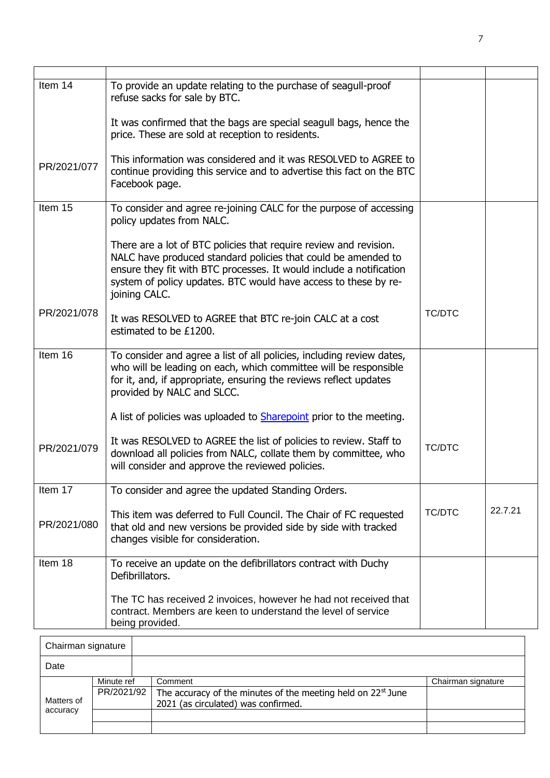| Item 14     | To provide an update relating to the purchase of seagull-proof<br>refuse sacks for sale by BTC.                                                                                                                                                                                               |               |         |
|-------------|-----------------------------------------------------------------------------------------------------------------------------------------------------------------------------------------------------------------------------------------------------------------------------------------------|---------------|---------|
|             | It was confirmed that the bags are special seagull bags, hence the<br>price. These are sold at reception to residents.                                                                                                                                                                        |               |         |
| PR/2021/077 | This information was considered and it was RESOLVED to AGREE to<br>continue providing this service and to advertise this fact on the BTC<br>Facebook page.                                                                                                                                    |               |         |
| Item 15     | To consider and agree re-joining CALC for the purpose of accessing<br>policy updates from NALC.                                                                                                                                                                                               |               |         |
|             | There are a lot of BTC policies that require review and revision.<br>NALC have produced standard policies that could be amended to<br>ensure they fit with BTC processes. It would include a notification<br>system of policy updates. BTC would have access to these by re-<br>joining CALC. |               |         |
| PR/2021/078 | It was RESOLVED to AGREE that BTC re-join CALC at a cost<br>estimated to be £1200.                                                                                                                                                                                                            | <b>TC/DTC</b> |         |
| Item 16     | To consider and agree a list of all policies, including review dates,<br>who will be leading on each, which committee will be responsible<br>for it, and, if appropriate, ensuring the reviews reflect updates<br>provided by NALC and SLCC.                                                  |               |         |
|             | A list of policies was uploaded to <b>Sharepoint</b> prior to the meeting.                                                                                                                                                                                                                    |               |         |
| PR/2021/079 | It was RESOLVED to AGREE the list of policies to review. Staff to<br>download all policies from NALC, collate them by committee, who<br>will consider and approve the reviewed policies.                                                                                                      | <b>TC/DTC</b> |         |
| Item 17     | To consider and agree the updated Standing Orders.                                                                                                                                                                                                                                            |               |         |
| PR/2021/080 | This item was deferred to Full Council. The Chair of FC requested<br>that old and new versions be provided side by side with tracked<br>changes visible for consideration.                                                                                                                    | <b>TC/DTC</b> | 22.7.21 |
| Item 18     | To receive an update on the defibrillators contract with Duchy<br>Defibrillators.                                                                                                                                                                                                             |               |         |
|             | The TC has received 2 invoices, however he had not received that<br>contract. Members are keen to understand the level of service<br>being provided.                                                                                                                                          |               |         |

| Chairman signature     |            |  |                                                                          |                    |
|------------------------|------------|--|--------------------------------------------------------------------------|--------------------|
| Date                   |            |  |                                                                          |                    |
| Matters of<br>accuracy | Minute ref |  | Comment                                                                  | Chairman signature |
|                        | PR/2021/92 |  | The accuracy of the minutes of the meeting held on 22 <sup>st</sup> June |                    |
|                        |            |  | 2021 (as circulated) was confirmed.                                      |                    |
|                        |            |  |                                                                          |                    |
|                        |            |  |                                                                          |                    |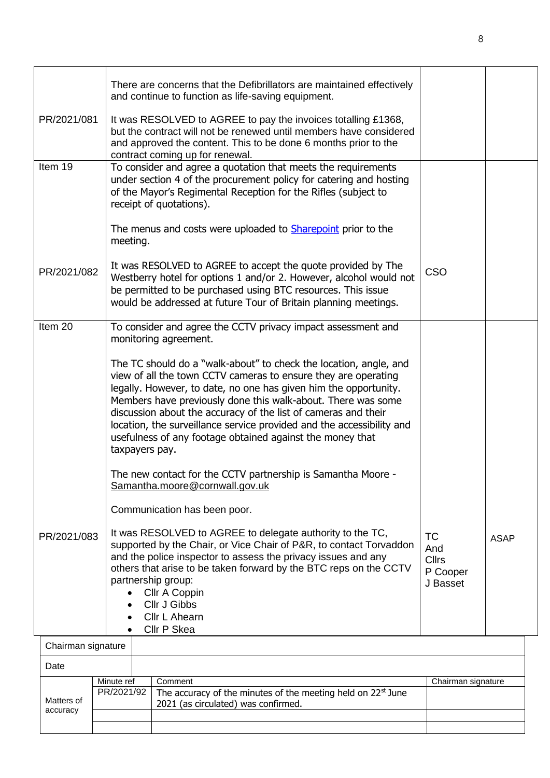|             |                                                                                                | There are concerns that the Defibrillators are maintained effectively<br>and continue to function as life-saving equipment.                                                                                                                                                                                                                                                                                                                                                                       |                                                          |             |  |
|-------------|------------------------------------------------------------------------------------------------|---------------------------------------------------------------------------------------------------------------------------------------------------------------------------------------------------------------------------------------------------------------------------------------------------------------------------------------------------------------------------------------------------------------------------------------------------------------------------------------------------|----------------------------------------------------------|-------------|--|
|             | PR/2021/081                                                                                    | It was RESOLVED to AGREE to pay the invoices totalling £1368,<br>but the contract will not be renewed until members have considered<br>and approved the content. This to be done 6 months prior to the<br>contract coming up for renewal.                                                                                                                                                                                                                                                         |                                                          |             |  |
|             | Item 19                                                                                        | To consider and agree a quotation that meets the requirements<br>under section 4 of the procurement policy for catering and hosting<br>of the Mayor's Regimental Reception for the Rifles (subject to<br>receipt of quotations).                                                                                                                                                                                                                                                                  |                                                          |             |  |
|             |                                                                                                | The menus and costs were uploaded to <b>Sharepoint</b> prior to the<br>meeting.                                                                                                                                                                                                                                                                                                                                                                                                                   |                                                          |             |  |
|             | PR/2021/082                                                                                    | It was RESOLVED to AGREE to accept the quote provided by The<br>Westberry hotel for options 1 and/or 2. However, alcohol would not<br>be permitted to be purchased using BTC resources. This issue<br>would be addressed at future Tour of Britain planning meetings.                                                                                                                                                                                                                             | CSO                                                      |             |  |
|             | Item 20                                                                                        | To consider and agree the CCTV privacy impact assessment and<br>monitoring agreement.                                                                                                                                                                                                                                                                                                                                                                                                             |                                                          |             |  |
|             |                                                                                                | The TC should do a "walk-about" to check the location, angle, and<br>view of all the town CCTV cameras to ensure they are operating<br>legally. However, to date, no one has given him the opportunity.<br>Members have previously done this walk-about. There was some<br>discussion about the accuracy of the list of cameras and their<br>location, the surveillance service provided and the accessibility and<br>usefulness of any footage obtained against the money that<br>taxpayers pay. |                                                          |             |  |
|             | The new contact for the CCTV partnership is Samantha Moore -<br>Samantha.moore@cornwall.gov.uk |                                                                                                                                                                                                                                                                                                                                                                                                                                                                                                   |                                                          |             |  |
|             |                                                                                                | Communication has been poor.                                                                                                                                                                                                                                                                                                                                                                                                                                                                      |                                                          |             |  |
| PR/2021/083 |                                                                                                | It was RESOLVED to AGREE to delegate authority to the TC,<br>supported by the Chair, or Vice Chair of P&R, to contact Torvaddon<br>and the police inspector to assess the privacy issues and any<br>others that arise to be taken forward by the BTC reps on the CCTV<br>partnership group:<br>Cllr A Coppin<br><b>CIIr J Gibbs</b><br>Cllr L Ahearn                                                                                                                                              | <b>TC</b><br>And<br><b>Cllrs</b><br>P Cooper<br>J Basset | <b>ASAP</b> |  |
|             | Chairman signature                                                                             | Cllr P Skea                                                                                                                                                                                                                                                                                                                                                                                                                                                                                       |                                                          |             |  |
|             | Date                                                                                           |                                                                                                                                                                                                                                                                                                                                                                                                                                                                                                   |                                                          |             |  |
|             |                                                                                                | Minute ref<br>Comment                                                                                                                                                                                                                                                                                                                                                                                                                                                                             | Chairman signature                                       |             |  |
|             | Matters of                                                                                     | PR/2021/92<br>The accuracy of the minutes of the meeting held on 22 <sup>st</sup> June<br>2021 (as circulated) was confirmed.                                                                                                                                                                                                                                                                                                                                                                     |                                                          |             |  |

accuracy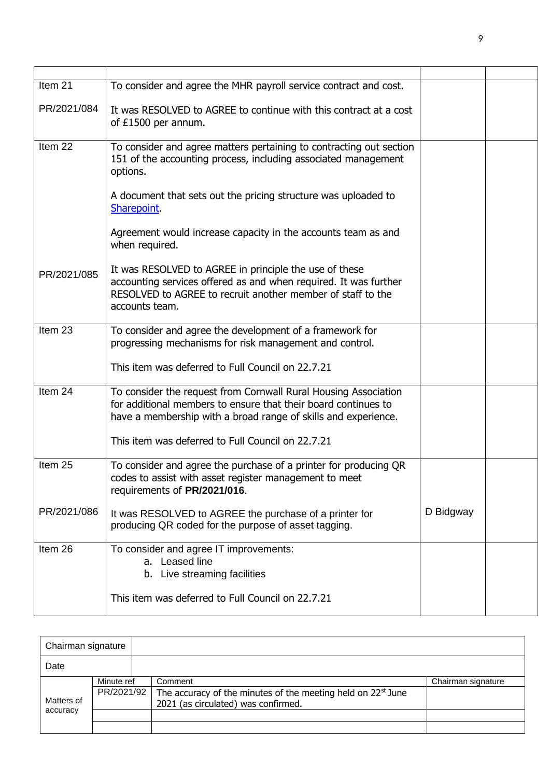| Item 21     | To consider and agree the MHR payroll service contract and cost.                                                                                                                                            |           |  |
|-------------|-------------------------------------------------------------------------------------------------------------------------------------------------------------------------------------------------------------|-----------|--|
| PR/2021/084 | It was RESOLVED to AGREE to continue with this contract at a cost<br>of £1500 per annum.                                                                                                                    |           |  |
| Item 22     | To consider and agree matters pertaining to contracting out section<br>151 of the accounting process, including associated management<br>options.                                                           |           |  |
|             | A document that sets out the pricing structure was uploaded to<br>Sharepoint.                                                                                                                               |           |  |
|             | Agreement would increase capacity in the accounts team as and<br>when required.                                                                                                                             |           |  |
| PR/2021/085 | It was RESOLVED to AGREE in principle the use of these<br>accounting services offered as and when required. It was further<br>RESOLVED to AGREE to recruit another member of staff to the<br>accounts team. |           |  |
| Item 23     | To consider and agree the development of a framework for<br>progressing mechanisms for risk management and control.                                                                                         |           |  |
|             | This item was deferred to Full Council on 22.7.21                                                                                                                                                           |           |  |
| Item 24     | To consider the request from Cornwall Rural Housing Association<br>for additional members to ensure that their board continues to<br>have a membership with a broad range of skills and experience.         |           |  |
|             | This item was deferred to Full Council on 22.7.21                                                                                                                                                           |           |  |
| Item 25     | To consider and agree the purchase of a printer for producing QR<br>codes to assist with asset register management to meet<br>requirements of PR/2021/016.                                                  |           |  |
| PR/2021/086 | It was RESOLVED to AGREE the purchase of a printer for<br>producing QR coded for the purpose of asset tagging.                                                                                              | D Bidgway |  |
| Item 26     | To consider and agree IT improvements:<br>a. Leased line<br>b. Live streaming facilities                                                                                                                    |           |  |
|             | This item was deferred to Full Council on 22.7.21                                                                                                                                                           |           |  |

| Chairman signature |                          |                                                                                                                            |                    |
|--------------------|--------------------------|----------------------------------------------------------------------------------------------------------------------------|--------------------|
| Date               |                          |                                                                                                                            |                    |
| Matters of         | Minute ref<br>PR/2021/92 | Comment<br>The accuracy of the minutes of the meeting held on 22 <sup>st</sup> June<br>2021 (as circulated) was confirmed. | Chairman signature |
| accuracy           |                          |                                                                                                                            |                    |